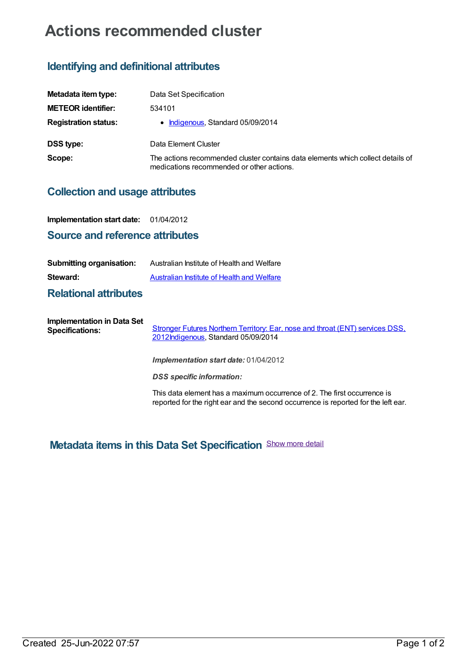# **Actions recommended cluster**

## **Identifying and definitional attributes**

| Metadata item type:         | Data Set Specification                                                                                                       |
|-----------------------------|------------------------------------------------------------------------------------------------------------------------------|
| <b>METEOR identifier:</b>   | 534101                                                                                                                       |
| <b>Registration status:</b> | • Indigenous, Standard 05/09/2014                                                                                            |
| <b>DSS type:</b>            | Data Element Cluster                                                                                                         |
| Scope:                      | The actions recommended cluster contains data elements which collect details of<br>medications recommended or other actions. |

### **Collection and usage attributes**

**Implementation start date:** 01/04/2012

#### **Source and reference attributes**

| <b>Submitting organisation:</b>                             | Australian Institute of Health and Welfare                                                                 |
|-------------------------------------------------------------|------------------------------------------------------------------------------------------------------------|
| Steward:                                                    | Australian Institute of Health and Welfare                                                                 |
| <b>Relational attributes</b>                                |                                                                                                            |
| <b>Implementation in Data Set</b><br><b>Specifications:</b> | Stronger Futures Northern Territory: Ear, nose and throat (ENT) services DSS,<br>_ _ _ _ _ _ _ _ _ _ _ _ _ |

[2012](https://meteor.aihw.gov.au/content/496338)[Indigenou](https://meteor.aihw.gov.au/RegistrationAuthority/6)[s,](https://meteor.aihw.gov.au/content/496338) Standard 05/09/2014

*Implementation start date:* 01/04/2012

*DSS specific information:*

This data element has a maximum occurrence of 2. The first occurrence is reported for the right ear and the second occurrence is reported for the left ear.

## **Metadata items in this Data Set Specification** Show more detail